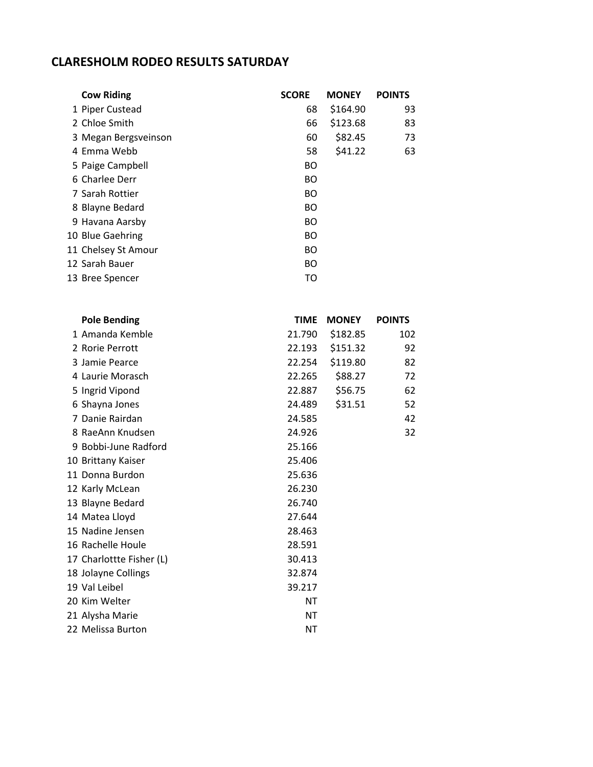## **CLARESHOLM RODEO RESULTS SATURDAY**

| <b>Cow Riding</b>    | <b>SCORE</b> | <b>MONEY</b> | <b>POINTS</b> |
|----------------------|--------------|--------------|---------------|
| 1 Piper Custead      | 68           | \$164.90     | 93            |
| 2 Chloe Smith        | 66           | \$123.68     | 83            |
| 3 Megan Bergsveinson | 60           | \$82.45      | 73            |
| 4 Emma Webb          | 58           | \$41.22      | 63            |
| 5 Paige Campbell     | <b>BO</b>    |              |               |
| 6 Charlee Derr       | <b>BO</b>    |              |               |
| 7 Sarah Rottier      | <b>BO</b>    |              |               |
| 8 Blayne Bedard      | <b>BO</b>    |              |               |
| 9 Havana Aarsby      | <b>BO</b>    |              |               |
| 10 Blue Gaehring     | <b>BO</b>    |              |               |
| 11 Chelsey St Amour  | <b>BO</b>    |              |               |
| 12 Sarah Bauer       | <b>BO</b>    |              |               |
| 13 Bree Spencer      | TO           |              |               |

| <b>Pole Bending</b>      | <b>TIME</b> | <b>MONEY</b> | <b>POINTS</b> |
|--------------------------|-------------|--------------|---------------|
| 1 Amanda Kemble          | 21.790      | \$182.85     | 102           |
| 2 Rorie Perrott          | 22.193      | \$151.32     | 92            |
| 3 Jamie Pearce           | 22.254      | \$119.80     | 82            |
| 4 Laurie Morasch         | 22.265      | \$88.27      | 72            |
| 5 Ingrid Vipond          | 22.887      | \$56.75      | 62            |
| 6 Shayna Jones           | 24.489      | \$31.51      | 52            |
| 7 Danie Rairdan          | 24.585      |              | 42            |
| 8 RaeAnn Knudsen         | 24.926      |              | 32            |
| 9 Bobbi-June Radford     | 25.166      |              |               |
| 10 Brittany Kaiser       | 25.406      |              |               |
| 11 Donna Burdon          | 25.636      |              |               |
| 12 Karly McLean          | 26.230      |              |               |
| 13 Blayne Bedard         | 26.740      |              |               |
| 14 Matea Lloyd           | 27.644      |              |               |
| 15 Nadine Jensen         | 28.463      |              |               |
| 16 Rachelle Houle        | 28.591      |              |               |
| 17 Charlottte Fisher (L) | 30.413      |              |               |
| 18 Jolayne Collings      | 32.874      |              |               |
| 19 Val Leibel            | 39.217      |              |               |
| 20 Kim Welter            | ΝT          |              |               |
| 21 Alysha Marie          | ΝT          |              |               |
| 22 Melissa Burton        | ΝT          |              |               |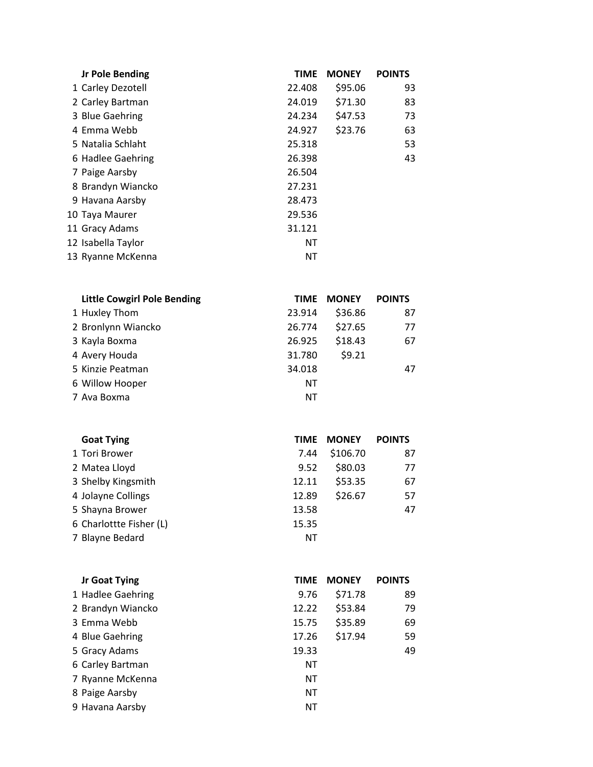| <b>Jr Pole Bending</b> | <b>TIME</b> | <b>MONEY</b> | <b>POINTS</b> |
|------------------------|-------------|--------------|---------------|
| 1 Carley Dezotell      | 22.408      | \$95.06      | 93            |
| 2 Carley Bartman       | 24.019      | \$71.30      | 83            |
| 3 Blue Gaehring        | 24.234      | \$47.53      | 73            |
| 4 Emma Webb            | 24.927      | \$23.76      | 63            |
| 5 Natalia Schlaht      | 25.318      |              | 53            |
| 6 Hadlee Gaehring      | 26.398      |              | 43            |
| 7 Paige Aarsby         | 26.504      |              |               |
| 8 Brandyn Wiancko      | 27.231      |              |               |
| 9 Havana Aarsby        | 28.473      |              |               |
| 10 Taya Maurer         | 29.536      |              |               |
| 11 Gracy Adams         | 31.121      |              |               |
| 12 Isabella Taylor     | ΝT          |              |               |
| 13 Ryanne McKenna      | <b>NT</b>   |              |               |

| <b>Little Cowgirl Pole Bending</b> | <b>TIME</b> | <b>MONEY</b> | <b>POINTS</b> |
|------------------------------------|-------------|--------------|---------------|
| 1 Huxley Thom                      | 23.914      | \$36.86      | 87            |
| 2 Bronlynn Wiancko                 | 26.774      | \$27.65      | 77            |
| 3 Kayla Boxma                      | 26.925      | \$18.43      | 67            |
| 4 Avery Houda                      | 31.780      | \$9.21       |               |
| 5 Kinzie Peatman                   | 34.018      |              | 47            |
| 6 Willow Hooper                    | ΝT          |              |               |
| 7 Ava Boxma                        | NΤ          |              |               |

| <b>Goat Tying</b>       | TIME  | <b>MONEY</b> | <b>POINTS</b> |
|-------------------------|-------|--------------|---------------|
| 1 Tori Brower           | 7.44  | \$106.70     | 87            |
| 2 Matea Lloyd           | 9.52  | \$80.03      | 77            |
| 3 Shelby Kingsmith      | 12.11 | \$53.35      | 67            |
| 4 Jolayne Collings      | 12.89 | \$26.67      | 57            |
| 5 Shayna Brower         | 13.58 |              | 47            |
| 6 Charlottte Fisher (L) | 15.35 |              |               |
| 7 Blayne Bedard         | ΝT    |              |               |
|                         |       |              |               |

| Jr Goat Tying     | <b>TIME</b> | <b>MONEY</b> | <b>POINTS</b> |
|-------------------|-------------|--------------|---------------|
| 1 Hadlee Gaehring | 9.76        | \$71.78      | 89            |
| 2 Brandyn Wiancko | 12.22       | \$53.84      | 79            |
| 3 Emma Webb       | 15.75       | \$35.89      | 69            |
| 4 Blue Gaehring   | 17.26       | \$17.94      | 59            |
| 5 Gracy Adams     | 19.33       |              | 49            |
| 6 Carley Bartman  | ΝT          |              |               |
| 7 Ryanne McKenna  | ΝT          |              |               |
| 8 Paige Aarsby    | ΝT          |              |               |
| 9 Havana Aarsby   | ΝT          |              |               |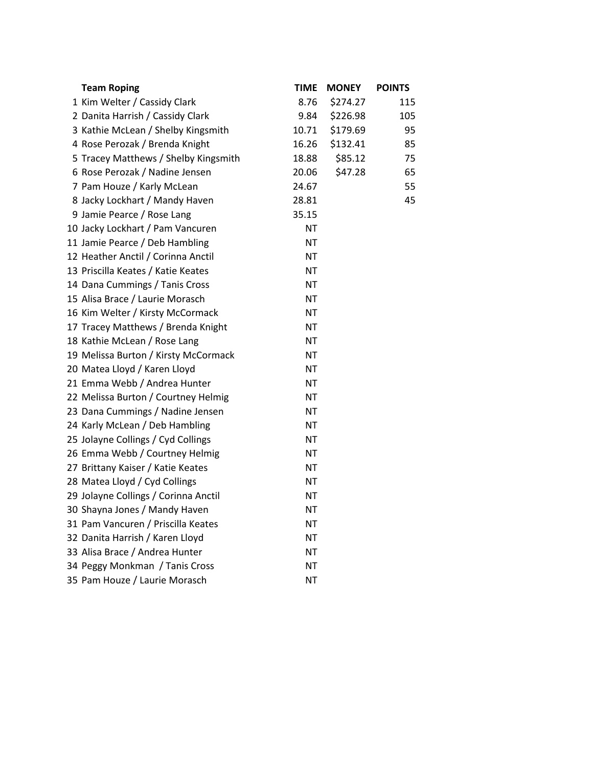| <b>Team Roping</b>                   | <b>TIME</b> | <b>MONEY</b> | <b>POINTS</b> |
|--------------------------------------|-------------|--------------|---------------|
| 1 Kim Welter / Cassidy Clark         | 8.76        | \$274.27     | 115           |
| 2 Danita Harrish / Cassidy Clark     | 9.84        | \$226.98     | 105           |
| 3 Kathie McLean / Shelby Kingsmith   | 10.71       | \$179.69     | 95            |
| 4 Rose Perozak / Brenda Knight       | 16.26       | \$132.41     | 85            |
| 5 Tracey Matthews / Shelby Kingsmith | 18.88       | \$85.12      | 75            |
| 6 Rose Perozak / Nadine Jensen       | 20.06       | \$47.28      | 65            |
| 7 Pam Houze / Karly McLean           | 24.67       |              | 55            |
| 8 Jacky Lockhart / Mandy Haven       | 28.81       |              | 45            |
| 9 Jamie Pearce / Rose Lang           | 35.15       |              |               |
| 10 Jacky Lockhart / Pam Vancuren     | NT          |              |               |
| 11 Jamie Pearce / Deb Hambling       | <b>NT</b>   |              |               |
| 12 Heather Anctil / Corinna Anctil   | <b>NT</b>   |              |               |
| 13 Priscilla Keates / Katie Keates   | <b>NT</b>   |              |               |
| 14 Dana Cummings / Tanis Cross       | <b>NT</b>   |              |               |
| 15 Alisa Brace / Laurie Morasch      | <b>NT</b>   |              |               |
| 16 Kim Welter / Kirsty McCormack     | <b>NT</b>   |              |               |
| 17 Tracey Matthews / Brenda Knight   | <b>NT</b>   |              |               |
| 18 Kathie McLean / Rose Lang         | <b>NT</b>   |              |               |
| 19 Melissa Burton / Kirsty McCormack | NT          |              |               |
| 20 Matea Lloyd / Karen Lloyd         | <b>NT</b>   |              |               |
| 21 Emma Webb / Andrea Hunter         | <b>NT</b>   |              |               |
| 22 Melissa Burton / Courtney Helmig  | <b>NT</b>   |              |               |
| 23 Dana Cummings / Nadine Jensen     | NT          |              |               |
| 24 Karly McLean / Deb Hambling       | <b>NT</b>   |              |               |
| 25 Jolayne Collings / Cyd Collings   | <b>NT</b>   |              |               |
| 26 Emma Webb / Courtney Helmig       | <b>NT</b>   |              |               |
| 27 Brittany Kaiser / Katie Keates    | <b>NT</b>   |              |               |
| 28 Matea Lloyd / Cyd Collings        | <b>NT</b>   |              |               |
| 29 Jolayne Collings / Corinna Anctil | <b>NT</b>   |              |               |
| 30 Shayna Jones / Mandy Haven        | ΝT          |              |               |
| 31 Pam Vancuren / Priscilla Keates   | <b>NT</b>   |              |               |
| 32 Danita Harrish / Karen Lloyd      | NT          |              |               |
| 33 Alisa Brace / Andrea Hunter       | <b>NT</b>   |              |               |
| 34 Peggy Monkman / Tanis Cross       | NT          |              |               |
| 35 Pam Houze / Laurie Morasch        | ΝT          |              |               |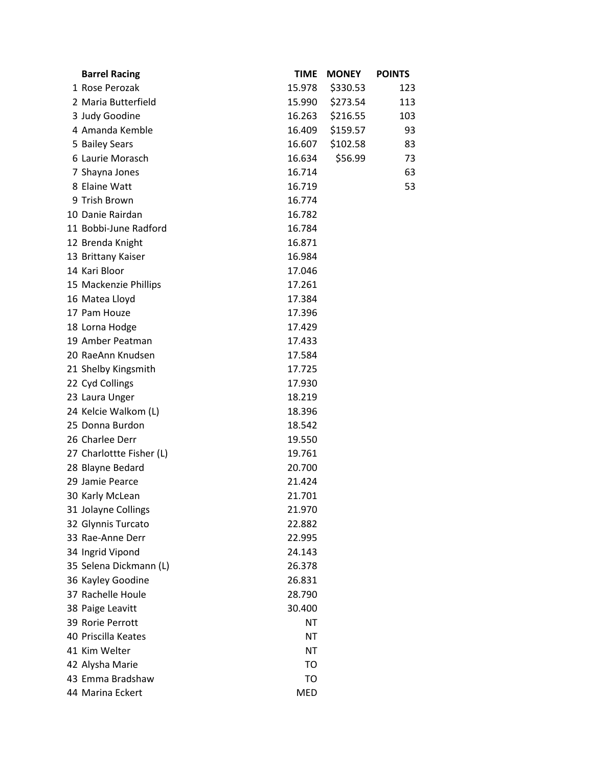| <b>Barrel Racing</b>     | <b>TIME</b> | <b>MONEY</b> | <b>POINTS</b> |
|--------------------------|-------------|--------------|---------------|
| 1 Rose Perozak           | 15.978      | \$330.53     | 123           |
| 2 Maria Butterfield      | 15.990      | \$273.54     | 113           |
| 3 Judy Goodine           | 16.263      | \$216.55     | 103           |
| 4 Amanda Kemble          | 16.409      | \$159.57     | 93            |
| 5 Bailey Sears           | 16.607      | \$102.58     | 83            |
| 6 Laurie Morasch         | 16.634      | \$56.99      | 73            |
| 7 Shayna Jones           | 16.714      |              | 63            |
| 8 Elaine Watt            | 16.719      |              | 53            |
| 9 Trish Brown            | 16.774      |              |               |
| 10 Danie Rairdan         | 16.782      |              |               |
| 11 Bobbi-June Radford    | 16.784      |              |               |
| 12 Brenda Knight         | 16.871      |              |               |
| 13 Brittany Kaiser       | 16.984      |              |               |
| 14 Kari Bloor            | 17.046      |              |               |
| 15 Mackenzie Phillips    | 17.261      |              |               |
| 16 Matea Lloyd           | 17.384      |              |               |
| 17 Pam Houze             | 17.396      |              |               |
| 18 Lorna Hodge           | 17.429      |              |               |
| 19 Amber Peatman         | 17.433      |              |               |
| 20 RaeAnn Knudsen        | 17.584      |              |               |
| 21 Shelby Kingsmith      | 17.725      |              |               |
| 22 Cyd Collings          | 17.930      |              |               |
| 23 Laura Unger           | 18.219      |              |               |
| 24 Kelcie Walkom (L)     | 18.396      |              |               |
| 25 Donna Burdon          | 18.542      |              |               |
| 26 Charlee Derr          | 19.550      |              |               |
| 27 Charlottte Fisher (L) | 19.761      |              |               |
| 28 Blayne Bedard         | 20.700      |              |               |
| 29 Jamie Pearce          | 21.424      |              |               |
| 30 Karly McLean          | 21.701      |              |               |
| 31 Jolayne Collings      | 21.970      |              |               |
| 32 Glynnis Turcato       | 22.882      |              |               |
| 33 Rae-Anne Derr         | 22.995      |              |               |
| 34 Ingrid Vipond         | 24.143      |              |               |
| 35 Selena Dickmann (L)   | 26.378      |              |               |
| 36 Kayley Goodine        | 26.831      |              |               |
| 37 Rachelle Houle        | 28.790      |              |               |
| 38 Paige Leavitt         | 30.400      |              |               |
| 39 Rorie Perrott         | ΝT          |              |               |
| 40 Priscilla Keates      | ΝT          |              |               |
| 41 Kim Welter            | <b>NT</b>   |              |               |
| 42 Alysha Marie          | TO          |              |               |
| 43 Emma Bradshaw         | TO          |              |               |
| 44 Marina Eckert         | <b>MED</b>  |              |               |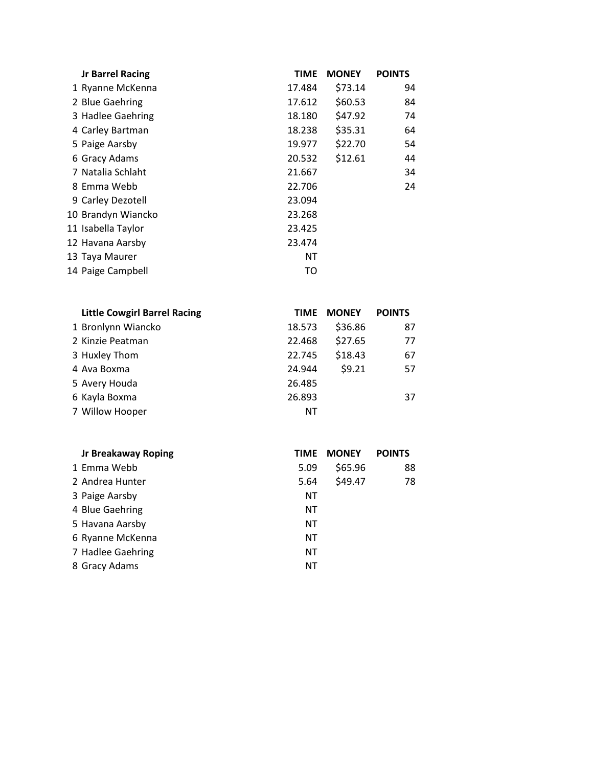| <b>Jr Barrel Racing</b> | <b>TIME</b> | <b>MONEY</b> | <b>POINTS</b> |
|-------------------------|-------------|--------------|---------------|
| 1 Ryanne McKenna        | 17.484      | \$73.14      | 94            |
| 2 Blue Gaehring         | 17.612      | \$60.53      | 84            |
| 3 Hadlee Gaehring       | 18.180      | \$47.92      | 74            |
| 4 Carley Bartman        | 18.238      | \$35.31      | 64            |
| 5 Paige Aarsby          | 19.977      | \$22.70      | 54            |
| 6 Gracy Adams           | 20.532      | \$12.61      | 44            |
| 7 Natalia Schlaht       | 21.667      |              | 34            |
| 8 Emma Webb             | 22.706      |              | 24            |
| 9 Carley Dezotell       | 23.094      |              |               |
| 10 Brandyn Wiancko      | 23.268      |              |               |
| 11 Isabella Taylor      | 23.425      |              |               |
| 12 Havana Aarsby        | 23.474      |              |               |
| 13 Taya Maurer          | ΝT          |              |               |
| 14 Paige Campbell       | TO          |              |               |

| <b>Little Cowgirl Barrel Racing</b> | <b>TIME</b> | <b>MONEY</b> | <b>POINTS</b> |
|-------------------------------------|-------------|--------------|---------------|
| 1 Bronlynn Wiancko                  | 18.573      | \$36.86      | 87            |
| 2 Kinzie Peatman                    | 22.468      | \$27.65      | 77            |
| 3 Huxley Thom                       | 22.745      | \$18.43      | 67            |
| 4 Ava Boxma                         | 24.944      | \$9.21       | 57            |
| 5 Avery Houda                       | 26.485      |              |               |
| 6 Kayla Boxma                       | 26.893      |              | 37            |
| 7 Willow Hooper                     | NΤ          |              |               |

| <b>Jr Breakaway Roping</b> | TIME | <b>MONEY</b> | <b>POINTS</b> |
|----------------------------|------|--------------|---------------|
| 1 Emma Webb                | 5.09 | \$65.96      | 88            |
| 2 Andrea Hunter            | 5.64 | \$49.47      | 78            |
| 3 Paige Aarsby             | ΝT   |              |               |
| 4 Blue Gaehring            | ΝT   |              |               |
| 5 Havana Aarsby            | ΝT   |              |               |
| 6 Ryanne McKenna           | ΝT   |              |               |
| 7 Hadlee Gaehring          | ΝT   |              |               |
| 8 Gracy Adams              | NΤ   |              |               |